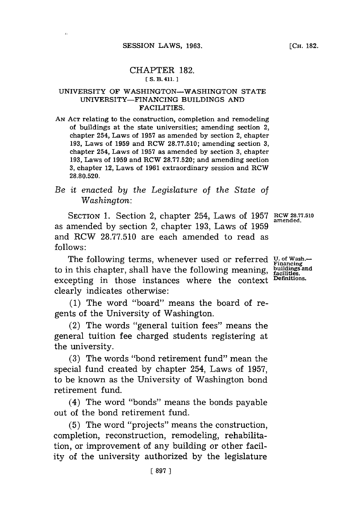$\epsilon$ 

### CHAPTER **182. [ S. B. 411. 1**

#### UNIVERSITY OF **WASHINGTON-WASHINGTON STATE UNIVERSITY-FINANCING** BUILDINGS **AND** FACILITIES.

**AN ACT** relating to the construction, completion and remodeling of buildings at the state universities; amending section 2, chapter 254, Laws of **1957** as amended **by** section 2, chapter **193,** Laws of **1959** and RCW **28.77.510;** amending section **3,** chapter 254, Laws of **1957** as amended **by** section **3,** chapter **193,** Laws of **1959** and RCW **28.77.520;** and amending section **3,** chapter 12, Laws of **1961** extraordinary session and RCW **28.80.520.**

# *Be it enacted by the Legislature of the State of Washington:*

SECTION 1. Section 2, chapter 254, Laws of 1957 RCW 28.77.510 as amended **by** section 2, chapter **193,** Laws of **1959** and RCW **28.77.510** are each amended to read as **follows: amended.**

The following terms, whenever used or referred **U. of Wash.- Financing** to in this chapter, shall have the following meaning, **buildings and facilities.** excepting in those instances where the context <sup>Definitions</sup> clearly indicates otherwise:

**(1)** The word "board" means the board of regents of the University of Washington.

(2) The words "general tuition fees" means the general tuition fee charged students registering at the university.

**(3)** The words "bond retirement fund" mean the special fund created **by** chapter 254, Laws of **1957,** to be known as the University of Washington bond retirement fund.

(4) The word "bonds" means the bonds payable out of the bond retirement fund.

**(5)** The word "projects" means the construction, completion, reconstruction, remodeling, rehabilitation, or improvement of any building or other facility of the university authorized **by** the legislature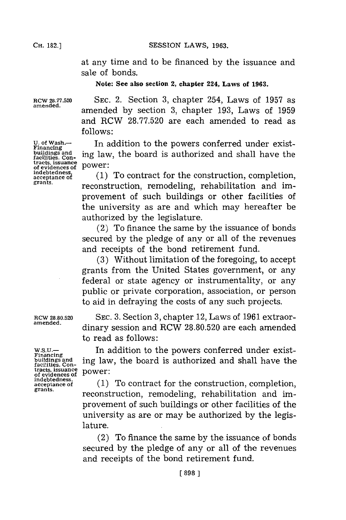**SESSION LAWS, 1963.** 

at any time and to be financed **by** the issuance and sale of bonds.

## **Note: See also section 2, chapter 224, Laws of 1963.**

RCW **28.77.520 SEC.** 2. Section **3,** chapter 254, Laws of **1957** as amended by section 3, chapter 193, Laws of 1959 and RCW **28.77.520** are each amended to read as **f ollows:**

> In addition to the powers conferred under existing law, the board is authorized and shall have the power:

> **(1)** To contract **for** the construction, completion, reconstruction, remodeling, rehabilitation and improvement of such buildings or other facilities of the university as are and which may hereafter be authorized **by** the legislature.

> (2) To finance the same **by** the issuance of bonds secured **by** the pledge of any or all of the revenues and receipts of the bond retirement fund.

> **(3)** Without limitation of the foregoing, to accept grants from the United States government, or any federal or state agency or instrumentality, or any public or private corporation, association, or person to aid in defraying the costs of any such projects.

RCW **28.80.520 SEC. 3.** Section **3,** chapter 12, Laws of **1961** extraor**amended.** dinary session and RCW **28.80.520** are each amended to read as **follows**:

**w.S.u.-** In addition to the powers conferred under existbuildings and **ing law, the board is authorized and shall have the** facilities. Con-<br>tacts, issuance<br>of evidences of power:

indebtedness, *of equidence of* (1) To contract for the construction, completion, **grants. reconstruction**, remodeling, rehabilitation and improvement of such buildings or other facilities of the university as are or may be authorized **by** the legislature.

> (2) To finance the same **by** the issuance of bonds secured **by** the pledge of any or all of the revenues and receipts of the bond retirement fund.

**U. of Wash.- Financing buildings and facilities. Contracts, Issuance of evidences of indebtedness, acceptance of grants.**

Financing<br>buildings and<br>facilities. Con-